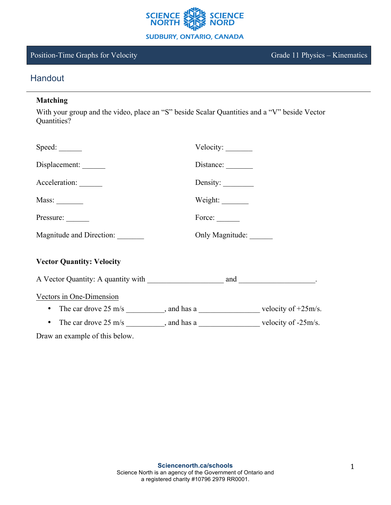

# Position-Time Graphs for Velocity Grade 11 Physics – Kinematics

# **Handout**

# **Matching**

With your group and the video, place an "S" beside Scalar Quantities and a "V" beside Vector Quantities?

| Speed:                                                                                                    | Velocity:                                                                   |  |
|-----------------------------------------------------------------------------------------------------------|-----------------------------------------------------------------------------|--|
| Displacement:                                                                                             | Distance: _________                                                         |  |
| Acceleration:                                                                                             | Density:                                                                    |  |
| Mass: $\_\_$                                                                                              | Weight: $\frac{1}{\sqrt{1-\frac{1}{2}}\cdot\frac{1}{\sqrt{1-\frac{1}{2}}}}$ |  |
| Pressure:                                                                                                 | Force: $\_\_$                                                               |  |
| Magnitude and Direction:                                                                                  | Only Magnitude:                                                             |  |
| <b>Vector Quantity: Velocity</b>                                                                          |                                                                             |  |
|                                                                                                           |                                                                             |  |
| Vectors in One-Dimension                                                                                  |                                                                             |  |
| • The car drove $25 \text{ m/s}$ _________, and has a ___________________ velocity of $+25 \text{ m/s}$ . |                                                                             |  |
| • The car drove $25 \text{ m/s}$ , and has a <u>velocity of -25m/s</u> .                                  |                                                                             |  |
| Draw an example of this below.                                                                            |                                                                             |  |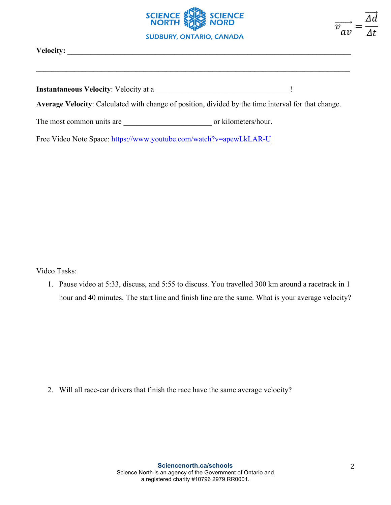

**\_\_\_\_\_\_\_\_\_\_\_\_\_\_\_\_\_\_\_\_\_\_\_\_\_\_\_\_\_\_\_\_\_\_\_\_\_\_\_\_\_\_\_\_\_\_\_\_\_\_\_\_\_\_\_\_\_\_\_\_\_\_\_\_\_\_\_\_\_\_\_\_\_\_\_\_\_\_\_\_\_\_** 

| <b>Velocity:</b> |
|------------------|
|------------------|

**Instantaneous Velocity**: Velocity at a \_\_\_\_\_\_\_\_\_\_\_\_\_\_\_\_\_\_\_\_\_\_\_\_\_\_\_\_\_\_\_\_\_\_\_!

**Average Velocity**: Calculated with change of position, divided by the time interval for that change.

The most common units are \_\_\_\_\_\_\_\_\_\_\_\_\_\_\_\_\_\_\_\_\_\_\_ or kilometers/hour.

Free Video Note Space: https://www.youtube.com/watch?v=apewLkLAR-U

Video Tasks:

1. Pause video at 5:33, discuss, and 5:55 to discuss. You travelled 300 km around a racetrack in 1 hour and 40 minutes. The start line and finish line are the same. What is your average velocity?

2. Will all race-car drivers that finish the race have the same average velocity?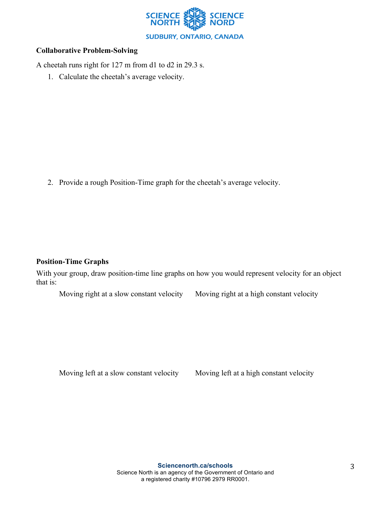

## **Collaborative Problem-Solving**

A cheetah runs right for 127 m from d1 to d2 in 29.3 s.

1. Calculate the cheetah's average velocity.

2. Provide a rough Position-Time graph for the cheetah's average velocity.

## **Position-Time Graphs**

With your group, draw position-time line graphs on how you would represent velocity for an object that is:

Moving right at a slow constant velocity Moving right at a high constant velocity

Moving left at a slow constant velocity Moving left at a high constant velocity